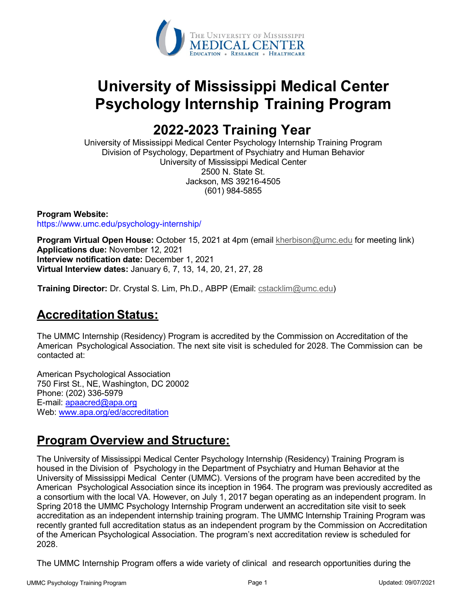

# **University of Mississippi Medical Center Psychology Internship Training Program**

# **2022-2023 Training Year**

University of Mississippi Medical Center Psychology Internship Training Program Division of Psychology, Department of Psychiatry and Human Behavior University of Mississippi Medical Center 2500 N. State St. Jackson, MS 39216-4505 (601) 984-5855

**Program Website:** https://www.umc.edu/psychology-internship/

**Program Virtual Open House:** October 15, 2021 at 4pm (email [kherbison@umc.edu](mailto:kherbison@umc.edu) for meeting link) **Applications due:** November 12, 2021 **Interview notification date:** December 1, 2021 **Virtual Interview dates:** January 6, 7, 13, 14, 20, 21, 27, 28

**Training Director:** Dr. Crystal S. Lim, Ph.D., ABPP (Email: [cstacklim@umc.edu\)](mailto:cstacklim@umc.edu)

# **Accreditation Status:**

The UMMC Internship (Residency) Program is accredited by the Commission on Accreditation of the American Psychological Association. The next site visit is scheduled for 2028. The Commission can be contacted at:

American Psychological Association 750 First St., NE, Washington, DC 20002 Phone: (202) 336-5979 E-mail: [apaacred@apa.org](mailto:apaacred@apa.org) Web: [www.apa.org/ed/accreditation](http://www.apa.org/ed/accreditation)

# **Program Overview and Structure:**

The University of Mississippi Medical Center Psychology Internship (Residency) Training Program is housed in the Division of Psychology in the Department of Psychiatry and Human Behavior at the University of Mississippi Medical Center (UMMC). Versions of the program have been accredited by the American Psychological Association since its inception in 1964. The program was previously accredited as a consortium with the local VA. However, on July 1, 2017 began operating as an independent program. In Spring 2018 the UMMC Psychology Internship Program underwent an accreditation site visit to seek accreditation as an independent internship training program. The UMMC Internship Training Program was recently granted full accreditation status as an independent program by the Commission on Accreditation of the American Psychological Association. The program's next accreditation review is scheduled for 2028.

The UMMC Internship Program offers a wide variety of clinical and research opportunities during the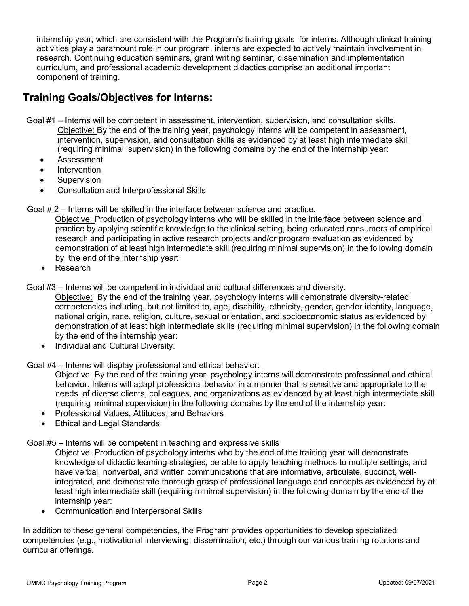internship year, which are consistent with the Program's training goals for interns. Although clinical training activities play a paramount role in our program, interns are expected to actively maintain involvement in research. Continuing education seminars, grant writing seminar, dissemination and implementation curriculum, and professional academic development didactics comprise an additional important component of training.

# **Training Goals/Objectives for Interns:**

Goal #1 – Interns will be competent in assessment, intervention, supervision, and consultation skills. Objective: By the end of the training year, psychology interns will be competent in assessment, intervention, supervision, and consultation skills as evidenced by at least high intermediate skill (requiring minimal supervision) in the following domains by the end of the internship year:

- Assessment
- **Intervention**
- **Supervision**
- Consultation and Interprofessional Skills

Goal # 2 – Interns will be skilled in the interface between science and practice.

Objective: Production of psychology interns who will be skilled in the interface between science and practice by applying scientific knowledge to the clinical setting, being educated consumers of empirical research and participating in active research projects and/or program evaluation as evidenced by demonstration of at least high intermediate skill (requiring minimal supervision) in the following domain by the end of the internship year:

• Research

Goal #3 – Interns will be competent in individual and cultural differences and diversity.

Objective: By the end of the training year, psychology interns will demonstrate diversity-related competencies including, but not limited to, age, disability, ethnicity, gender, gender identity, language, national origin, race, religion, culture, sexual orientation, and socioeconomic status as evidenced by demonstration of at least high intermediate skills (requiring minimal supervision) in the following domain by the end of the internship year:

• Individual and Cultural Diversity.

Goal #4 – Interns will display professional and ethical behavior.

Objective: By the end of the training year, psychology interns will demonstrate professional and ethical behavior. Interns will adapt professional behavior in a manner that is sensitive and appropriate to the needs of diverse clients, colleagues, and organizations as evidenced by at least high intermediate skill (requiring minimal supervision) in the following domains by the end of the internship year:

- Professional Values, Attitudes, and Behaviors
- Ethical and Legal Standards

## Goal #5 – Interns will be competent in teaching and expressive skills

Objective: Production of psychology interns who by the end of the training year will demonstrate knowledge of didactic learning strategies, be able to apply teaching methods to multiple settings, and have verbal, nonverbal, and written communications that are informative, articulate, succinct, wellintegrated, and demonstrate thorough grasp of professional language and concepts as evidenced by at least high intermediate skill (requiring minimal supervision) in the following domain by the end of the internship year:

• Communication and Interpersonal Skills

In addition to these general competencies, the Program provides opportunities to develop specialized competencies (e.g., motivational interviewing, dissemination, etc.) through our various training rotations and curricular offerings.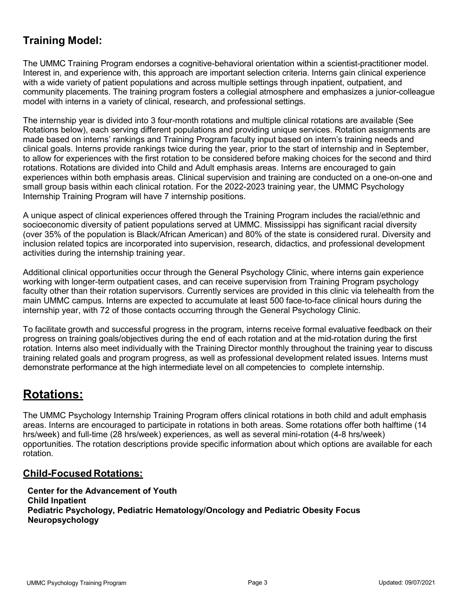# **Training Model:**

The UMMC Training Program endorses a cognitive-behavioral orientation within a scientist-practitioner model. Interest in, and experience with, this approach are important selection criteria. Interns gain clinical experience with a wide variety of patient populations and across multiple settings through inpatient, outpatient, and community placements. The training program fosters a collegial atmosphere and emphasizes a junior-colleague model with interns in a variety of clinical, research, and professional settings.

The internship year is divided into 3 four-month rotations and multiple clinical rotations are available (See Rotations below), each serving different populations and providing unique services. Rotation assignments are made based on interns' rankings and Training Program faculty input based on intern's training needs and clinical goals. Interns provide rankings twice during the year, prior to the start of internship and in September, to allow for experiences with the first rotation to be considered before making choices for the second and third rotations. Rotations are divided into Child and Adult emphasis areas. Interns are encouraged to gain experiences within both emphasis areas. Clinical supervision and training are conducted on a one-on-one and small group basis within each clinical rotation. For the 2022-2023 training year, the UMMC Psychology Internship Training Program will have 7 internship positions.

A unique aspect of clinical experiences offered through the Training Program includes the racial/ethnic and socioeconomic diversity of patient populations served at UMMC. Mississippi has significant racial diversity (over 35% of the population is Black/African American) and 80% of the state is considered rural. Diversity and inclusion related topics are incorporated into supervision, research, didactics, and professional development activities during the internship training year.

Additional clinical opportunities occur through the General Psychology Clinic, where interns gain experience working with longer-term outpatient cases, and can receive supervision from Training Program psychology faculty other than their rotation supervisors. Currently services are provided in this clinic via telehealth from the main UMMC campus. Interns are expected to accumulate at least 500 face-to-face clinical hours during the internship year, with 72 of those contacts occurring through the General Psychology Clinic.

To facilitate growth and successful progress in the program, interns receive formal evaluative feedback on their progress on training goals/objectives during the end of each rotation and at the mid-rotation during the first rotation. Interns also meet individually with the Training Director monthly throughout the training year to discuss training related goals and program progress, as well as professional development related issues. Interns must demonstrate performance at the high intermediate level on all competencies to complete internship.

# **Rotations:**

The UMMC Psychology Internship Training Program offers clinical rotations in both child and adult emphasis areas. Interns are encouraged to participate in rotations in both areas. Some rotations offer both halftime (14 hrs/week) and full-time (28 hrs/week) experiences, as well as several mini-rotation (4-8 hrs/week) opportunities. The rotation descriptions provide specific information about which options are available for each rotation.

## **Child-Focused Rotations:**

**Center for the Advancement of Youth Child Inpatient Pediatric Psychology, Pediatric Hematology/Oncology and Pediatric Obesity Focus Neuropsychology**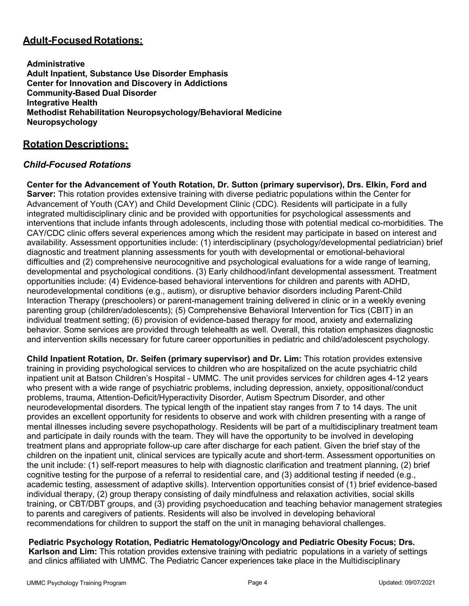# **Adult-Focused Rotations:**

**Administrative Adult Inpatient, Substance Use Disorder Emphasis Center for Innovation and Discovery in Addictions Community-Based Dual Disorder Integrative Health Methodist Rehabilitation Neuropsychology/Behavioral Medicine Neuropsychology**

## **Rotation Descriptions:**

## *Child-Focused Rotations*

**Center for the Advancement of Youth Rotation, Dr. Sutton (primary supervisor), Drs. Elkin, Ford and Sarver:** This rotation provides extensive training with diverse pediatric populations within the Center for Advancement of Youth (CAY) and Child Development Clinic (CDC). Residents will participate in a fully integrated multidisciplinary clinic and be provided with opportunities for psychological assessments and interventions that include infants through adolescents, including those with potential medical co-morbidities. The CAY/CDC clinic offers several experiences among which the resident may participate in based on interest and availability. Assessment opportunities include: (1) interdisciplinary (psychology/developmental pediatrician) brief diagnostic and treatment planning assessments for youth with developmental or emotional-behavioral difficulties and (2) comprehensive neurocognitive and psychological evaluations for a wide range of learning, developmental and psychological conditions. (3) Early childhood/infant developmental assessment. Treatment opportunities include: (4) Evidence-based behavioral interventions for children and parents with ADHD, neurodevelopmental conditions (e.g., autism), or disruptive behavior disorders including Parent-Child Interaction Therapy (preschoolers) or parent-management training delivered in clinic or in a weekly evening parenting group (children/adolescents); (5) Comprehensive Behavioral Intervention for Tics (CBIT) in an individual treatment setting; (6) provision of evidence-based therapy for mood, anxiety and externalizing behavior. Some services are provided through telehealth as well. Overall, this rotation emphasizes diagnostic and intervention skills necessary for future career opportunities in pediatric and child/adolescent psychology.

**Child Inpatient Rotation, Dr. Seifen (primary supervisor) and Dr. Lim:** This rotation provides extensive training in providing psychological services to children who are hospitalized on the acute psychiatric child inpatient unit at Batson Children's Hospital - UMMC. The unit provides services for children ages 4-12 years who present with a wide range of psychiatric problems, including depression, anxiety, oppositional/conduct problems, trauma, Attention-Deficit/Hyperactivity Disorder, Autism Spectrum Disorder, and other neurodevelopmental disorders. The typical length of the inpatient stay ranges from 7 to 14 days. The unit provides an excellent opportunity for residents to observe and work with children presenting with a range of mental illnesses including severe psychopathology. Residents will be part of a multidisciplinary treatment team and participate in daily rounds with the team. They will have the opportunity to be involved in developing treatment plans and appropriate follow-up care after discharge for each patient. Given the brief stay of the children on the inpatient unit, clinical services are typically acute and short-term. Assessment opportunities on the unit include: (1) self-report measures to help with diagnostic clarification and treatment planning, (2) brief cognitive testing for the purpose of a referral to residential care, and (3) additional testing if needed (e.g., academic testing, assessment of adaptive skills). Intervention opportunities consist of (1) brief evidence-based individual therapy, (2) group therapy consisting of daily mindfulness and relaxation activities, social skills training, or CBT/DBT groups, and (3) providing psychoeducation and teaching behavior management strategies to parents and caregivers of patients. Residents will also be involved in developing behavioral recommendations for children to support the staff on the unit in managing behavioral challenges.

**Pediatric Psychology Rotation, Pediatric Hematology/Oncology and Pediatric Obesity Focus; Drs. Karlson and Lim:** This rotation provides extensive training with pediatric populations in a variety of settings and clinics affiliated with UMMC. The Pediatric Cancer experiences take place in the Multidisciplinary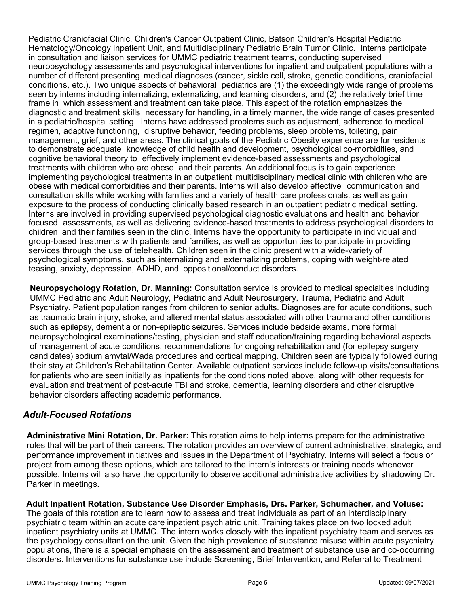Pediatric Craniofacial Clinic, Children's Cancer Outpatient Clinic, Batson Children's Hospital Pediatric Hematology/Oncology Inpatient Unit, and Multidisciplinary Pediatric Brain Tumor Clinic. Interns participate in consultation and liaison services for UMMC pediatric treatment teams, conducting supervised neuropsychology assessments and psychological interventions for inpatient and outpatient populations with a number of different presenting medical diagnoses (cancer, sickle cell, stroke, genetic conditions, craniofacial conditions, etc.). Two unique aspects of behavioral pediatrics are (1) the exceedingly wide range of problems seen by interns including internalizing, externalizing, and learning disorders, and (2) the relatively brief time frame in which assessment and treatment can take place. This aspect of the rotation emphasizes the diagnostic and treatment skills necessary for handling, in a timely manner, the wide range of cases presented in a pediatric/hospital setting. Interns have addressed problems such as adjustment, adherence to medical regimen, adaptive functioning, disruptive behavior, feeding problems, sleep problems, toileting, pain management, grief, and other areas. The clinical goals of the Pediatric Obesity experience are for residents to demonstrate adequate knowledge of child health and development, psychological co-morbidities, and cognitive behavioral theory to effectively implement evidence-based assessments and psychological treatments with children who are obese and their parents. An additional focus is to gain experience implementing psychological treatments in an outpatient multidisciplinary medical clinic with children who are obese with medical comorbidities and their parents. Interns will also develop effective communication and consultation skills while working with families and a variety of health care professionals, as well as gain exposure to the process of conducting clinically based research in an outpatient pediatric medical setting. Interns are involved in providing supervised psychological diagnostic evaluations and health and behavior focused assessments, as well as delivering evidence-based treatments to address psychological disorders to children and their families seen in the clinic. Interns have the opportunity to participate in individual and group-based treatments with patients and families, as well as opportunities to participate in providing services through the use of telehealth. Children seen in the clinic present with a wide-variety of psychological symptoms, such as internalizing and externalizing problems, coping with weight-related teasing, anxiety, depression, ADHD, and oppositional/conduct disorders.

**Neuropsychology Rotation, Dr. Manning:** Consultation service is provided to medical specialties including UMMC Pediatric and Adult Neurology, Pediatric and Adult Neurosurgery, Trauma, Pediatric and Adult Psychiatry. Patient population ranges from children to senior adults. Diagnoses are for acute conditions, such as traumatic brain injury, stroke, and altered mental status associated with other trauma and other conditions such as epilepsy, dementia or non-epileptic seizures. Services include bedside exams, more formal neuropsychological examinations/testing, physician and staff education/training regarding behavioral aspects of management of acute conditions, recommendations for ongoing rehabilitation and (for epilepsy surgery candidates) sodium amytal/Wada procedures and cortical mapping. Children seen are typically followed during their stay at Children's Rehabilitation Center. Available outpatient services include follow-up visits/consultations for patients who are seen initially as inpatients for the conditions noted above, along with other requests for evaluation and treatment of post-acute TBI and stroke, dementia, learning disorders and other disruptive behavior disorders affecting academic performance.

## *Adult-Focused Rotations*

**Administrative Mini Rotation, Dr. Parker:** This rotation aims to help interns prepare for the administrative roles that will be part of their careers. The rotation provides an overview of current administrative, strategic, and performance improvement initiatives and issues in the Department of Psychiatry. Interns will select a focus or project from among these options, which are tailored to the intern's interests or training needs whenever possible. Interns will also have the opportunity to observe additional administrative activities by shadowing Dr. Parker in meetings.

**Adult Inpatient Rotation, Substance Use Disorder Emphasis, Drs. Parker, Schumacher, and Voluse:**  The goals of this rotation are to learn how to assess and treat individuals as part of an interdisciplinary psychiatric team within an acute care inpatient psychiatric unit. Training takes place on two locked adult inpatient psychiatry units at UMMC. The intern works closely with the inpatient psychiatry team and serves as the psychology consultant on the unit. Given the high prevalence of substance misuse within acute psychiatry populations, there is a special emphasis on the assessment and treatment of substance use and co-occurring disorders. Interventions for substance use include Screening, Brief Intervention, and Referral to Treatment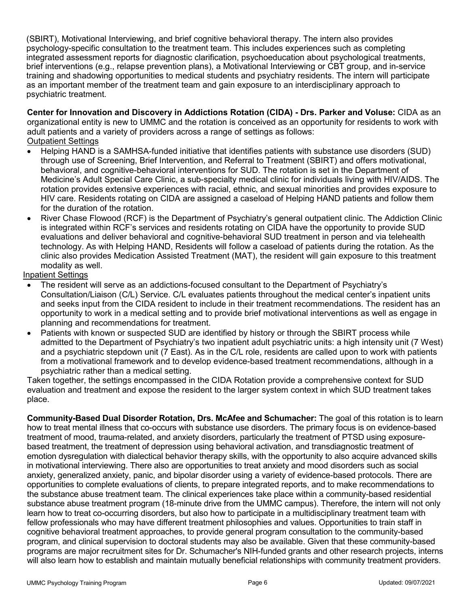(SBIRT), Motivational Interviewing, and brief cognitive behavioral therapy. The intern also provides psychology-specific consultation to the treatment team. This includes experiences such as completing integrated assessment reports for diagnostic clarification, psychoeducation about psychological treatments, brief interventions (e.g., relapse prevention plans), a Motivational Interviewing or CBT group, and in-service training and shadowing opportunities to medical students and psychiatry residents. The intern will participate as an important member of the treatment team and gain exposure to an interdisciplinary approach to psychiatric treatment.

**Center for Innovation and Discovery in Addictions Rotation (CIDA) - Drs. Parker and Voluse:** CIDA as an organizational entity is new to UMMC and the rotation is conceived as an opportunity for residents to work with adult patients and a variety of providers across a range of settings as follows: Outpatient Settings

- Helping HAND is a SAMHSA-funded initiative that identifies patients with substance use disorders (SUD) through use of Screening, Brief Intervention, and Referral to Treatment (SBIRT) and offers motivational, behavioral, and cognitive-behavioral interventions for SUD. The rotation is set in the Department of Medicine's Adult Special Care Clinic, a sub-specialty medical clinic for individuals living with HIV/AIDS. The rotation provides extensive experiences with racial, ethnic, and sexual minorities and provides exposure to HIV care. Residents rotating on CIDA are assigned a caseload of Helping HAND patients and follow them for the duration of the rotation.
- River Chase Flowood (RCF) is the Department of Psychiatry's general outpatient clinic. The Addiction Clinic is integrated within RCF's services and residents rotating on CIDA have the opportunity to provide SUD evaluations and deliver behavioral and cognitive-behavioral SUD treatment in person and via telehealth technology. As with Helping HAND, Residents will follow a caseload of patients during the rotation. As the clinic also provides Medication Assisted Treatment (MAT), the resident will gain exposure to this treatment modality as well.

Inpatient Settings

- The resident will serve as an addictions-focused consultant to the Department of Psychiatry's Consultation/Liaison (C/L) Service. C/L evaluates patients throughout the medical center's inpatient units and seeks input from the CIDA resident to include in their treatment recommendations. The resident has an opportunity to work in a medical setting and to provide brief motivational interventions as well as engage in planning and recommendations for treatment.
- Patients with known or suspected SUD are identified by history or through the SBIRT process while admitted to the Department of Psychiatry's two inpatient adult psychiatric units: a high intensity unit (7 West) and a psychiatric stepdown unit (7 East). As in the C/L role, residents are called upon to work with patients from a motivational framework and to develop evidence-based treatment recommendations, although in a psychiatric rather than a medical setting.

Taken together, the settings encompassed in the CIDA Rotation provide a comprehensive context for SUD evaluation and treatment and expose the resident to the larger system context in which SUD treatment takes place.

**Community-Based Dual Disorder Rotation, Drs. McAfee and Schumacher:** The goal of this rotation is to learn how to treat mental illness that co-occurs with substance use disorders. The primary focus is on evidence-based treatment of mood, trauma-related, and anxiety disorders, particularly the treatment of PTSD using exposurebased treatment, the treatment of depression using behavioral activation, and transdiagnostic treatment of emotion dysregulation with dialectical behavior therapy skills, with the opportunity to also acquire advanced skills in motivational interviewing. There also are opportunities to treat anxiety and mood disorders such as social anxiety, generalized anxiety, panic, and bipolar disorder using a variety of evidence-based protocols. There are opportunities to complete evaluations of clients, to prepare integrated reports, and to make recommendations to the substance abuse treatment team. The clinical experiences take place within a community-based residential substance abuse treatment program (18-minute drive from the UMMC campus). Therefore, the intern will not only learn how to treat co-occurring disorders, but also how to participate in a multidisciplinary treatment team with fellow professionals who may have different treatment philosophies and values. Opportunities to train staff in cognitive behavioral treatment approaches, to provide general program consultation to the community-based program, and clinical supervision to doctoral students may also be available. Given that these community-based programs are major recruitment sites for Dr. Schumacher's NIH-funded grants and other research projects, interns will also learn how to establish and maintain mutually beneficial relationships with community treatment providers.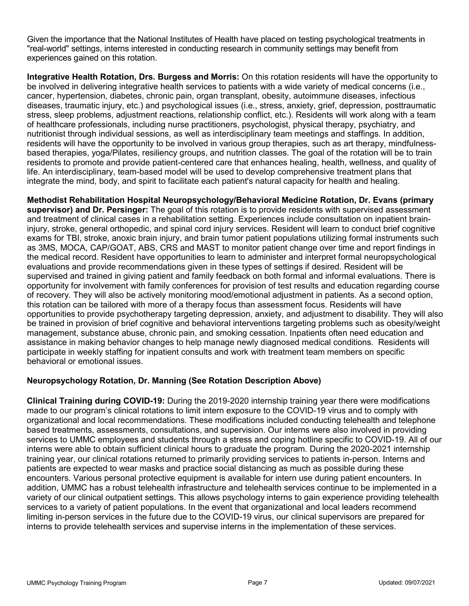Given the importance that the National Institutes of Health have placed on testing psychological treatments in "real-world" settings, interns interested in conducting research in community settings may benefit from experiences gained on this rotation.

**Integrative Health Rotation, Drs. Burgess and Morris:** On this rotation residents will have the opportunity to be involved in delivering integrative health services to patients with a wide variety of medical concerns (i.e., cancer, hypertension, diabetes, chronic pain, organ transplant, obesity, autoimmune diseases, infectious diseases, traumatic injury, etc.) and psychological issues (i.e., stress, anxiety, grief, depression, posttraumatic stress, sleep problems, adjustment reactions, relationship conflict, etc.). Residents will work along with a team of healthcare professionals, including nurse practitioners, psychologist, physical therapy, psychiatry, and nutritionist through individual sessions, as well as interdisciplinary team meetings and staffings. In addition, residents will have the opportunity to be involved in various group therapies, such as art therapy, mindfulnessbased therapies, yoga/Pilates, resiliency groups, and nutrition classes. The goal of the rotation will be to train residents to promote and provide patient-centered care that enhances healing, health, wellness, and quality of life. An interdisciplinary, team-based model will be used to develop comprehensive treatment plans that integrate the mind, body, and spirit to facilitate each patient's natural capacity for health and healing.

**Methodist Rehabilitation Hospital Neuropsychology/Behavioral Medicine Rotation, Dr. Evans (primary supervisor) and Dr. Persinger:** The goal of this rotation is to provide residents with supervised assessment and treatment of clinical cases in a rehabilitation setting. Experiences include consultation on inpatient braininjury, stroke, general orthopedic, and spinal cord injury services. Resident will learn to conduct brief cognitive exams for TBI, stroke, anoxic brain injury, and brain tumor patient populations utilizing formal instruments such as 3MS, MOCA, CAP/GOAT, ABS, CRS and MAST to monitor patient change over time and report findings in the medical record. Resident have opportunities to learn to administer and interpret formal neuropsychological evaluations and provide recommendations given in these types of settings if desired. Resident will be supervised and trained in giving patient and family feedback on both formal and informal evaluations. There is opportunity for involvement with family conferences for provision of test results and education regarding course of recovery. They will also be actively monitoring mood/emotional adjustment in patients. As a second option, this rotation can be tailored with more of a therapy focus than assessment focus. Residents will have opportunities to provide psychotherapy targeting depression, anxiety, and adjustment to disability. They will also be trained in provision of brief cognitive and behavioral interventions targeting problems such as obesity/weight management, substance abuse, chronic pain, and smoking cessation. Inpatients often need education and assistance in making behavior changes to help manage newly diagnosed medical conditions. Residents will participate in weekly staffing for inpatient consults and work with treatment team members on specific behavioral or emotional issues.

## **Neuropsychology Rotation, Dr. Manning (See Rotation Description Above)**

**Clinical Training during COVID-19:** During the 2019-2020 internship training year there were modifications made to our program's clinical rotations to limit intern exposure to the COVID-19 virus and to comply with organizational and local recommendations. These modifications included conducting telehealth and telephone based treatments, assessments, consultations, and supervision. Our interns were also involved in providing services to UMMC employees and students through a stress and coping hotline specific to COVID-19. All of our interns were able to obtain sufficient clinical hours to graduate the program. During the 2020-2021 internship training year, our clinical rotations returned to primarily providing services to patients in-person. Interns and patients are expected to wear masks and practice social distancing as much as possible during these encounters. Various personal protective equipment is available for intern use during patient encounters. In addition, UMMC has a robust telehealth infrastructure and telehealth services continue to be implemented in a variety of our clinical outpatient settings. This allows psychology interns to gain experience providing telehealth services to a variety of patient populations. In the event that organizational and local leaders recommend limiting in-person services in the future due to the COVID-19 virus, our clinical supervisors are prepared for interns to provide telehealth services and supervise interns in the implementation of these services.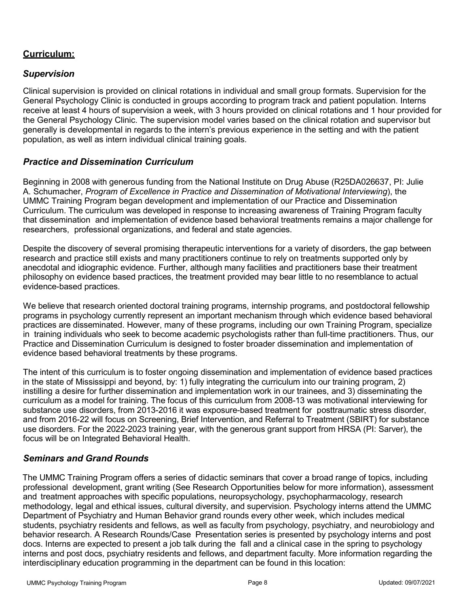# **Curriculum:**

## *Supervision*

Clinical supervision is provided on clinical rotations in individual and small group formats. Supervision for the General Psychology Clinic is conducted in groups according to program track and patient population. Interns receive at least 4 hours of supervision a week, with 3 hours provided on clinical rotations and 1 hour provided for the General Psychology Clinic. The supervision model varies based on the clinical rotation and supervisor but generally is developmental in regards to the intern's previous experience in the setting and with the patient population, as well as intern individual clinical training goals.

## *Practice and Dissemination Curriculum*

Beginning in 2008 with generous funding from the National Institute on Drug Abuse (R25DA026637, PI: Julie A. Schumacher, *Program of Excellence in Practice and Dissemination of Motivational Interviewing*), the UMMC Training Program began development and implementation of our Practice and Dissemination Curriculum. The curriculum was developed in response to increasing awareness of Training Program faculty that dissemination and implementation of evidence based behavioral treatments remains a major challenge for researchers, professional organizations, and federal and state agencies.

Despite the discovery of several promising therapeutic interventions for a variety of disorders, the gap between research and practice still exists and many practitioners continue to rely on treatments supported only by anecdotal and idiographic evidence. Further, although many facilities and practitioners base their treatment philosophy on evidence based practices, the treatment provided may bear little to no resemblance to actual evidence-based practices.

We believe that research oriented doctoral training programs, internship programs, and postdoctoral fellowship programs in psychology currently represent an important mechanism through which evidence based behavioral practices are disseminated. However, many of these programs, including our own Training Program, specialize in training individuals who seek to become academic psychologists rather than full-time practitioners. Thus, our Practice and Dissemination Curriculum is designed to foster broader dissemination and implementation of evidence based behavioral treatments by these programs.

The intent of this curriculum is to foster ongoing dissemination and implementation of evidence based practices in the state of Mississippi and beyond, by: 1) fully integrating the curriculum into our training program, 2) instilling a desire for further dissemination and implementation work in our trainees, and 3) disseminating the curriculum as a model for training. The focus of this curriculum from 2008-13 was motivational interviewing for substance use disorders, from 2013-2016 it was exposure-based treatment for posttraumatic stress disorder, and from 2016-22 will focus on Screening, Brief Intervention, and Referral to Treatment (SBIRT) for substance use disorders. For the 2022-2023 training year, with the generous grant support from HRSA (PI: Sarver), the focus will be on Integrated Behavioral Health.

## *Seminars and Grand Rounds*

The UMMC Training Program offers a series of didactic seminars that cover a broad range of topics, including professional development, grant writing (See Research Opportunities below for more information), assessment and treatment approaches with specific populations, neuropsychology, psychopharmacology, research methodology, legal and ethical issues, cultural diversity, and supervision. Psychology interns attend the UMMC Department of Psychiatry and Human Behavior grand rounds every other week, which includes medical students, psychiatry residents and fellows, as well as faculty from psychology, psychiatry, and neurobiology and behavior research. A Research Rounds/Case Presentation series is presented by psychology interns and post docs. Interns are expected to present a job talk during the fall and a clinical case in the spring to psychology interns and post docs, psychiatry residents and fellows, and department faculty. More information regarding the interdisciplinary education programming in the department can be found in this location: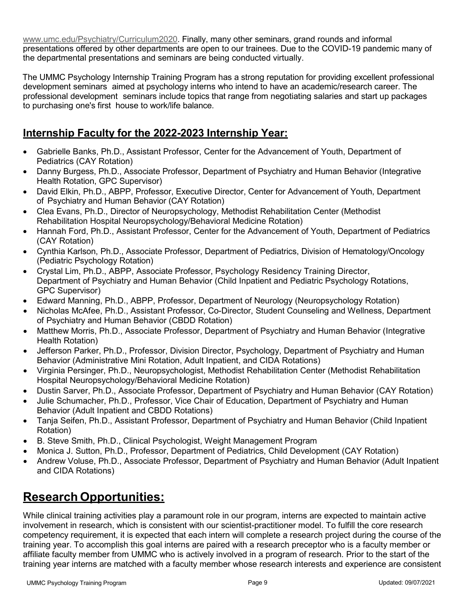[www.umc.edu/Psychiatry/Curriculum2020.](http://www.umc.edu/Psychiatry/Curriculum2020) Finally, many other seminars, grand rounds and informal presentations offered by other departments are open to our trainees. Due to the COVID-19 pandemic many of the departmental presentations and seminars are being conducted virtually.

The UMMC Psychology Internship Training Program has a strong reputation for providing excellent professional development seminars aimed at psychology interns who intend to have an academic/research career. The professional development seminars include topics that range from negotiating salaries and start up packages to purchasing one's first house to work/life balance.

# **Internship Faculty for the 2022-2023 Internship Year:**

- Gabrielle Banks, Ph.D., Assistant Professor, Center for the Advancement of Youth, Department of Pediatrics (CAY Rotation)
- Danny Burgess, Ph.D., Associate Professor, Department of Psychiatry and Human Behavior (Integrative Health Rotation, GPC Supervisor)
- David Elkin, Ph.D., ABPP, Professor, Executive Director, Center for Advancement of Youth, Department of Psychiatry and Human Behavior (CAY Rotation)
- Clea Evans, Ph.D., Director of Neuropsychology, Methodist Rehabilitation Center (Methodist Rehabilitation Hospital Neuropsychology/Behavioral Medicine Rotation)
- Hannah Ford, Ph.D., Assistant Professor, Center for the Advancement of Youth, Department of Pediatrics (CAY Rotation)
- Cynthia Karlson, Ph.D., Associate Professor, Department of Pediatrics, Division of Hematology/Oncology (Pediatric Psychology Rotation)
- Crystal Lim, Ph.D., ABPP, Associate Professor, Psychology Residency Training Director, Department of Psychiatry and Human Behavior (Child Inpatient and Pediatric Psychology Rotations, GPC Supervisor)
- Edward Manning, Ph.D., ABPP, Professor, Department of Neurology (Neuropsychology Rotation)
- Nicholas McAfee, Ph.D., Assistant Professor, Co-Director, Student Counseling and Wellness, Department of Psychiatry and Human Behavior (CBDD Rotation)
- Matthew Morris, Ph.D., Associate Professor, Department of Psychiatry and Human Behavior (Integrative Health Rotation)
- Jefferson Parker, Ph.D., Professor, Division Director, Psychology, Department of Psychiatry and Human Behavior (Administrative Mini Rotation, Adult Inpatient, and CIDA Rotations)
- Virginia Persinger, Ph.D., Neuropsychologist, Methodist Rehabilitation Center (Methodist Rehabilitation Hospital Neuropsychology/Behavioral Medicine Rotation)
- Dustin Sarver, Ph.D., Associate Professor, Department of Psychiatry and Human Behavior (CAY Rotation)
- Julie Schumacher, Ph.D., Professor, Vice Chair of Education, Department of Psychiatry and Human Behavior (Adult Inpatient and CBDD Rotations)
- Tanja Seifen, Ph.D., Assistant Professor, Department of Psychiatry and Human Behavior (Child Inpatient Rotation)
- B. Steve Smith, Ph.D., Clinical Psychologist, Weight Management Program
- Monica J. Sutton, Ph.D., Professor, Department of Pediatrics, Child Development (CAY Rotation)
- Andrew Voluse, Ph.D., Associate Professor, Department of Psychiatry and Human Behavior (Adult Inpatient and CIDA Rotations)

# **Research Opportunities:**

While clinical training activities play a paramount role in our program, interns are expected to maintain active involvement in research, which is consistent with our scientist-practitioner model. To fulfill the core research competency requirement, it is expected that each intern will complete a research project during the course of the training year. To accomplish this goal interns are paired with a research preceptor who is a faculty member or affiliate faculty member from UMMC who is actively involved in a program of research. Prior to the start of the training year interns are matched with a faculty member whose research interests and experience are consistent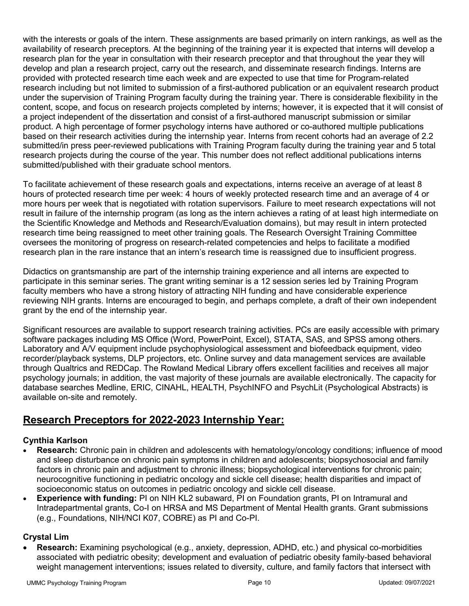with the interests or goals of the intern. These assignments are based primarily on intern rankings, as well as the availability of research preceptors. At the beginning of the training year it is expected that interns will develop a research plan for the year in consultation with their research preceptor and that throughout the year they will develop and plan a research project, carry out the research, and disseminate research findings. Interns are provided with protected research time each week and are expected to use that time for Program-related research including but not limited to submission of a first-authored publication or an equivalent research product under the supervision of Training Program faculty during the training year. There is considerable flexibility in the content, scope, and focus on research projects completed by interns; however, it is expected that it will consist of a project independent of the dissertation and consist of a first-authored manuscript submission or similar product. A high percentage of former psychology interns have authored or co-authored multiple publications based on their research activities during the internship year. Interns from recent cohorts had an average of 2.2 submitted/in press peer-reviewed publications with Training Program faculty during the training year and 5 total research projects during the course of the year. This number does not reflect additional publications interns submitted/published with their graduate school mentors.

To facilitate achievement of these research goals and expectations, interns receive an average of at least 8 hours of protected research time per week: 4 hours of weekly protected research time and an average of 4 or more hours per week that is negotiated with rotation supervisors. Failure to meet research expectations will not result in failure of the internship program (as long as the intern achieves a rating of at least high intermediate on the Scientific Knowledge and Methods and Research/Evaluation domains), but may result in intern protected research time being reassigned to meet other training goals. The Research Oversight Training Committee oversees the monitoring of progress on research-related competencies and helps to facilitate a modified research plan in the rare instance that an intern's research time is reassigned due to insufficient progress.

Didactics on grantsmanship are part of the internship training experience and all interns are expected to participate in this seminar series. The grant writing seminar is a 12 session series led by Training Program faculty members who have a strong history of attracting NIH funding and have considerable experience reviewing NIH grants. Interns are encouraged to begin, and perhaps complete, a draft of their own independent grant by the end of the internship year.

Significant resources are available to support research training activities. PCs are easily accessible with primary software packages including MS Office (Word, PowerPoint, Excel), STATA, SAS, and SPSS among others. Laboratory and A/V equipment include psychophysiological assessment and biofeedback equipment, video recorder/playback systems, DLP projectors, etc. Online survey and data management services are available through Qualtrics and REDCap. The Rowland Medical Library offers excellent facilities and receives all major psychology journals; in addition, the vast majority of these journals are available electronically. The capacity for database searches Medline, ERIC, CINAHL, HEALTH, PsychINFO and PsychLit (Psychological Abstracts) is available on-site and remotely.

# **Research Preceptors for 2022-2023 Internship Year:**

## **Cynthia Karlson**

- **Research:** Chronic pain in children and adolescents with hematology/oncology conditions; influence of mood and sleep disturbance on chronic pain symptoms in children and adolescents; biopsychosocial and family factors in chronic pain and adjustment to chronic illness; biopsychological interventions for chronic pain; neurocognitive functioning in pediatric oncology and sickle cell disease; health disparities and impact of socioeconomic status on outcomes in pediatric oncology and sickle cell disease.
- **Experience with funding:** PI on NIH KL2 subaward, PI on Foundation grants, PI on Intramural and Intradepartmental grants, Co-I on HRSA and MS Department of Mental Health grants. Grant submissions (e.g., Foundations, NIH/NCI K07, COBRE) as PI and Co-PI.

## **Crystal Lim**

• **Research:** Examining psychological (e.g., anxiety, depression, ADHD, etc.) and physical co-morbidities associated with pediatric obesity; development and evaluation of pediatric obesity family-based behavioral weight management interventions; issues related to diversity, culture, and family factors that intersect with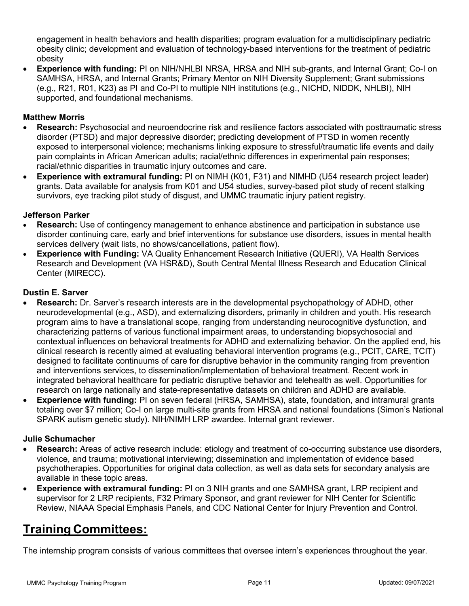engagement in health behaviors and health disparities; program evaluation for a multidisciplinary pediatric obesity clinic; development and evaluation of technology-based interventions for the treatment of pediatric obesity

• **Experience with funding:** PI on NIH/NHLBI NRSA, HRSA and NIH sub-grants, and Internal Grant; Co-I on SAMHSA, HRSA, and Internal Grants; Primary Mentor on NIH Diversity Supplement; Grant submissions (e.g., R21, R01, K23) as PI and Co-PI to multiple NIH institutions (e.g., NICHD, NIDDK, NHLBI), NIH supported, and foundational mechanisms.

## **Matthew Morris**

- **Research:** Psychosocial and neuroendocrine risk and resilience factors associated with posttraumatic stress disorder (PTSD) and major depressive disorder; predicting development of PTSD in women recently exposed to interpersonal violence; mechanisms linking exposure to stressful/traumatic life events and daily pain complaints in African American adults; racial/ethnic differences in experimental pain responses; racial/ethnic disparities in traumatic injury outcomes and care.
- **Experience with extramural funding:** PI on NIMH (K01, F31) and NIMHD (U54 research project leader) grants. Data available for analysis from K01 and U54 studies, survey-based pilot study of recent stalking survivors, eye tracking pilot study of disgust, and UMMC traumatic injury patient registry.

## **Jefferson Parker**

- **Research:** Use of contingency management to enhance abstinence and participation in substance use disorder continuing care, early and brief interventions for substance use disorders, issues in mental health services delivery (wait lists, no shows/cancellations, patient flow).
- **Experience with Funding:** VA Quality Enhancement Research Initiative (QUERI), VA Health Services Research and Development (VA HSR&D), South Central Mental Illness Research and Education Clinical Center (MIRECC).

## **Dustin E. Sarver**

- **Research:** Dr. Sarver's research interests are in the developmental psychopathology of ADHD, other neurodevelopmental (e.g., ASD), and externalizing disorders, primarily in children and youth. His research program aims to have a translational scope, ranging from understanding neurocognitive dysfunction, and characterizing patterns of various functional impairment areas, to understanding biopsychosocial and contextual influences on behavioral treatments for ADHD and externalizing behavior. On the applied end, his clinical research is recently aimed at evaluating behavioral intervention programs (e.g., PCIT, CARE, TCIT) designed to facilitate continuums of care for disruptive behavior in the community ranging from prevention and interventions services, to dissemination/implementation of behavioral treatment. Recent work in integrated behavioral healthcare for pediatric disruptive behavior and telehealth as well. Opportunities for research on large nationally and state-representative datasets on children and ADHD are available.
- **Experience with funding:** PI on seven federal (HRSA, SAMHSA), state, foundation, and intramural grants totaling over \$7 million; Co-I on large multi-site grants from HRSA and national foundations (Simon's National SPARK autism genetic study). NIH/NIMH LRP awardee. Internal grant reviewer.

## **Julie Schumacher**

- **Research:** Areas of active research include: etiology and treatment of co-occurring substance use disorders, violence, and trauma; motivational interviewing; dissemination and implementation of evidence based psychotherapies. Opportunities for original data collection, as well as data sets for secondary analysis are available in these topic areas.
- **Experience with extramural funding:** PI on 3 NIH grants and one SAMHSA grant, LRP recipient and supervisor for 2 LRP recipients, F32 Primary Sponsor, and grant reviewer for NIH Center for Scientific Review, NIAAA Special Emphasis Panels, and CDC National Center for Injury Prevention and Control.

# **Training Committees:**

The internship program consists of various committees that oversee intern's experiences throughout the year.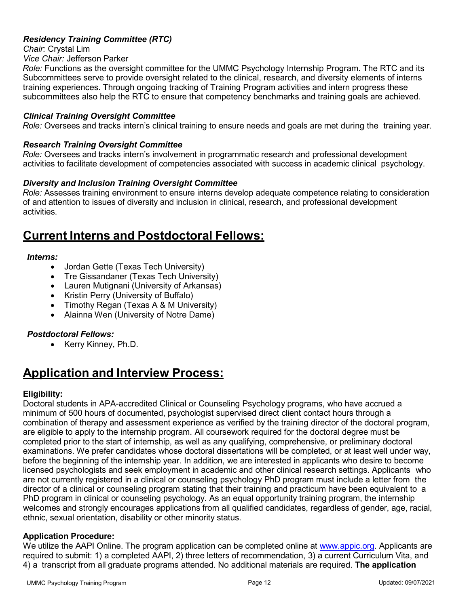## *Residency Training Committee (RTC)*

*Chair:* Crystal Lim

*Vice Chair:* Jefferson Parker

*Role:* Functions as the oversight committee for the UMMC Psychology Internship Program. The RTC and its Subcommittees serve to provide oversight related to the clinical, research, and diversity elements of interns training experiences. Through ongoing tracking of Training Program activities and intern progress these subcommittees also help the RTC to ensure that competency benchmarks and training goals are achieved.

## *Clinical Training Oversight Committee*

*Role:* Oversees and tracks intern's clinical training to ensure needs and goals are met during the training year.

## *Research Training Oversight Committee*

*Role:* Oversees and tracks intern's involvement in programmatic research and professional development activities to facilitate development of competencies associated with success in academic clinical psychology.

## *Diversity and Inclusion Training Oversight Committee*

*Role:* Assesses training environment to ensure interns develop adequate competence relating to consideration of and attention to issues of diversity and inclusion in clinical, research, and professional development activities.

# **Current Interns and Postdoctoral Fellows:**

## *Interns:*

- Jordan Gette (Texas Tech University)
- Tre Gissandaner (Texas Tech University)
- Lauren Mutignani (University of Arkansas)
- Kristin Perry (University of Buffalo)
- Timothy Regan (Texas A & M University)
- Alainna Wen (University of Notre Dame)

## *Postdoctoral Fellows:*

• Kerry Kinney, Ph.D.

# **Application and Interview Process:**

## **Eligibility:**

Doctoral students in APA-accredited Clinical or Counseling Psychology programs, who have accrued a minimum of 500 hours of documented, psychologist supervised direct client contact hours through a combination of therapy and assessment experience as verified by the training director of the doctoral program, are eligible to apply to the internship program. All coursework required for the doctoral degree must be completed prior to the start of internship, as well as any qualifying, comprehensive, or preliminary doctoral examinations. We prefer candidates whose doctoral dissertations will be completed, or at least well under way, before the beginning of the internship year. In addition, we are interested in applicants who desire to become licensed psychologists and seek employment in academic and other clinical research settings. Applicants who are not currently registered in a clinical or counseling psychology PhD program must include a letter from the director of a clinical or counseling program stating that their training and practicum have been equivalent to a PhD program in clinical or counseling psychology. As an equal opportunity training program, the internship welcomes and strongly encourages applications from all qualified candidates, regardless of gender, age, racial, ethnic, sexual orientation, disability or other minority status.

## **Application Procedure:**

We utilize the AAPI Online. The program application can be completed online at [www.appic.org.](http://www.appic.org/) Applicants are required to submit: 1) a completed AAPI, 2) three letters of recommendation, 3) a current Curriculum Vita, and 4) a transcript from all graduate programs attended. No additional materials are required. **The application**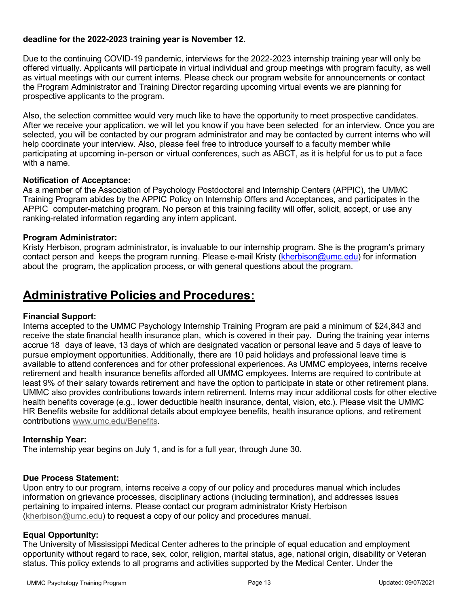## **deadline for the 2022-2023 training year is November 12.**

Due to the continuing COVID-19 pandemic, interviews for the 2022-2023 internship training year will only be offered virtually. Applicants will participate in virtual individual and group meetings with program faculty, as well as virtual meetings with our current interns. Please check our program website for announcements or contact the Program Administrator and Training Director regarding upcoming virtual events we are planning for prospective applicants to the program.

Also, the selection committee would very much like to have the opportunity to meet prospective candidates. After we receive your application, we will let you know if you have been selected for an interview. Once you are selected, you will be contacted by our program administrator and may be contacted by current interns who will help coordinate your interview. Also, please feel free to introduce yourself to a faculty member while participating at upcoming in-person or virtual conferences, such as ABCT, as it is helpful for us to put a face with a name.

## **Notification of Acceptance:**

As a member of the Association of Psychology Postdoctoral and Internship Centers (APPIC), the UMMC Training Program abides by the APPIC Policy on Internship Offers and Acceptances, and participates in the APPIC computer-matching program. No person at this training facility will offer, solicit, accept, or use any ranking-related information regarding any intern applicant.

## **Program Administrator:**

Kristy Herbison, program administrator, is invaluable to our internship program. She is the program's primary contact person and keeps the program running. Please e-mail Kristy (kherbison@umc.edu) for information about the program, the application process, or with general questions about the program.

# **Administrative Policies and Procedures:**

## **Financial Support:**

Interns accepted to the UMMC Psychology Internship Training Program are paid a minimum of \$24,843 and receive the state financial health insurance plan, which is covered in their pay. During the training year interns accrue 18 days of leave, 13 days of which are designated vacation or personal leave and 5 days of leave to pursue employment opportunities. Additionally, there are 10 paid holidays and professional leave time is available to attend conferences and for other professional experiences. As UMMC employees, interns receive retirement and health insurance benefits afforded all UMMC employees. Interns are required to contribute at least 9% of their salary towards retirement and have the option to participate in state or other retirement plans. UMMC also provides contributions towards intern retirement. Interns may incur additional costs for other elective health benefits coverage (e.g., lower deductible health insurance, dental, vision, etc.). Please visit the UMMC HR Benefits website for additional details about employee benefits, health insurance options, and retirement contributions [www.umc.edu/Benefits.](http://www.umc.edu/Benefits)

## **Internship Year:**

The internship year begins on July 1, and is for a full year, through June 30.

## **Due Process Statement:**

Upon entry to our program, interns receive a copy of our policy and procedures manual which includes information on grievance processes, disciplinary actions (including termination), and addresses issues pertaining to impaired interns. Please contact our program administrator Kristy Herbison [\(kherbison@umc.edu\)](mailto:kherbison@umc.edu) to request a copy of our policy and procedures manual.

## **Equal Opportunity:**

The University of Mississippi Medical Center adheres to the principle of equal education and employment opportunity without regard to race, sex, color, religion, marital status, age, national origin, disability or Veteran status. This policy extends to all programs and activities supported by the Medical Center. Under the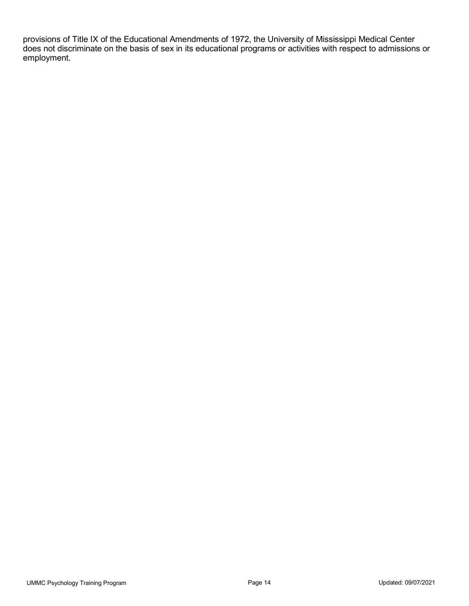provisions of Title IX of the Educational Amendments of 1972, the University of Mississippi Medical Center does not discriminate on the basis of sex in its educational programs or activities with respect to admissions or employment.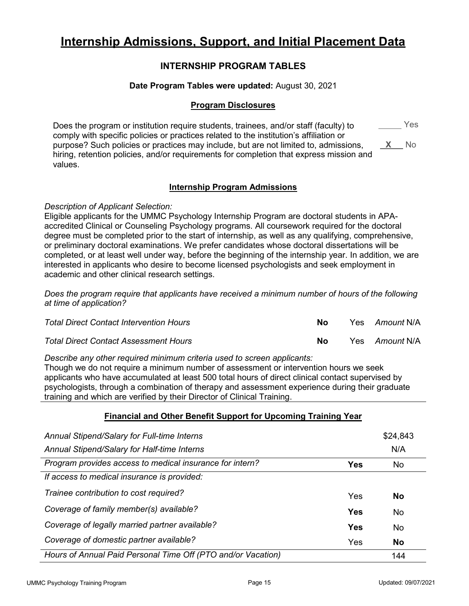# **Internship Admissions, Support, and Initial Placement Data**

## **INTERNSHIP PROGRAM TABLES**

## **Date Program Tables were updated:** August 30, 2021

## **Program Disclosures**

Does the program or institution require students, trainees, and/or staff (faculty) to comply with specific policies or practices related to the institution's affiliation or purpose? Such policies or practices may include, but are not limited to, admissions, hiring, retention policies, and/or requirements for completion that express mission and values. Yes **X** No

## **Internship Program Admissions**

## *Description of Applicant Selection:*

Eligible applicants for the UMMC Psychology Internship Program are doctoral students in APAaccredited Clinical or Counseling Psychology programs. All coursework required for the doctoral degree must be completed prior to the start of internship, as well as any qualifying, comprehensive, or preliminary doctoral examinations. We prefer candidates whose doctoral dissertations will be completed, or at least well under way, before the beginning of the internship year. In addition, we are interested in applicants who desire to become licensed psychologists and seek employment in academic and other clinical research settings.

*Does the program require that applicants have received a minimum number of hours of the following at time of application?* 

| <b>Total Direct Contact Intervention Hours</b> | No | Yes Amount N/A |
|------------------------------------------------|----|----------------|
| <b>Total Direct Contact Assessment Hours</b>   | Nο | Yes Amount N/A |

### *Describe any other required minimum criteria used to screen applicants:*

Though we do not require a minimum number of assessment or intervention hours we seek applicants who have accumulated at least 500 total hours of direct clinical contact supervised by psychologists, through a combination of therapy and assessment experience during their graduate training and which are verified by their Director of Clinical Training.

## **Financial and Other Benefit Support for Upcoming Training Year**

| Annual Stipend/Salary for Full-time Interns                  |            | \$24,843  |
|--------------------------------------------------------------|------------|-----------|
| Annual Stipend/Salary for Half-time Interns                  |            | N/A       |
| Program provides access to medical insurance for intern?     | <b>Yes</b> | No.       |
| If access to medical insurance is provided:                  |            |           |
| Trainee contribution to cost required?                       | Yes        | <b>No</b> |
| Coverage of family member(s) available?                      | Yes        | No        |
| Coverage of legally married partner available?               | Yes        | No        |
| Coverage of domestic partner available?                      | Yes        | <b>No</b> |
| Hours of Annual Paid Personal Time Off (PTO and/or Vacation) |            | 144       |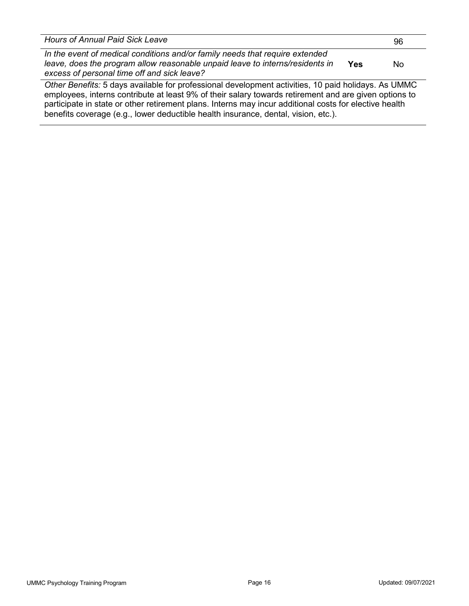| <b>Hours of Annual Paid Sick Leave</b>                                                                                                                                                                                                                                                                                | 96  |
|-----------------------------------------------------------------------------------------------------------------------------------------------------------------------------------------------------------------------------------------------------------------------------------------------------------------------|-----|
| In the event of medical conditions and/or family needs that require extended<br>leave, does the program allow reasonable unpaid leave to interns/residents in<br>Yes<br>excess of personal time off and sick leave?                                                                                                   | No. |
| Other Benefits: 5 days available for professional development activities, 10 paid holidays. As UMMC<br>employees, interns contribute at least 9% of their salary towards retirement and are given options to<br>porticipate in etate ex ether retirement plane. Interna may inqur additional easte for elective booth |     |

participate in state or other retirement plans. Interns may incur additional costs for elective health benefits coverage (e.g., lower deductible health insurance, dental, vision, etc.).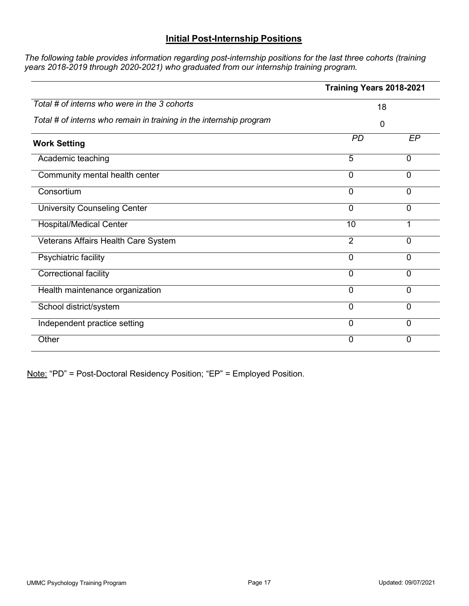## **Initial Post-Internship Positions**

*The following table provides information regarding post-internship positions for the last three cohorts (training years 2018-2019 through 2020-2021) who graduated from our internship training program.* 

|                                                                     | Training Years 2018-2021 |             |  |
|---------------------------------------------------------------------|--------------------------|-------------|--|
| Total # of interns who were in the 3 cohorts                        | 18<br>0                  |             |  |
| Total # of interns who remain in training in the internship program |                          |             |  |
| <b>Work Setting</b>                                                 | <b>PD</b>                | EP          |  |
| Academic teaching                                                   | 5                        | $\mathbf 0$ |  |
| Community mental health center                                      | $\mathbf 0$              | 0           |  |
| Consortium                                                          | $\overline{0}$           | 0           |  |
| <b>University Counseling Center</b>                                 | $\overline{0}$           | 0           |  |
| <b>Hospital/Medical Center</b>                                      | 10                       | 1           |  |
| Veterans Affairs Health Care System                                 | $\overline{2}$           | 0           |  |
| Psychiatric facility                                                | 0                        | 0           |  |
| Correctional facility                                               | $\overline{0}$           | 0           |  |
| Health maintenance organization                                     | $\overline{0}$           | 0           |  |
| School district/system                                              | $\mathbf 0$              | 0           |  |
| Independent practice setting                                        | 0                        | 0           |  |
| Other                                                               | $\mathbf 0$              | 0           |  |

Note: "PD" = Post-Doctoral Residency Position; "EP" = Employed Position.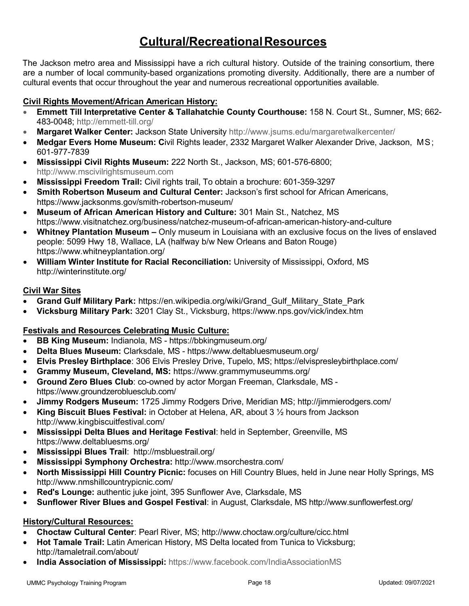# **Cultural/RecreationalResources**

The Jackson metro area and Mississippi have a rich cultural history. Outside of the training consortium, there are a number of local community-based organizations promoting diversity. Additionally, there are a number of cultural events that occur throughout the year and numerous recreational opportunities available.

## **Civil Rights Movement/African American History:**

- **Emmett Till Interpretative Center & Tallahatchie County Courthouse:** 158 N. Court St., Sumner, MS; 662- 483-0048; [http://emmett-till.org/](https://urldefense.proofpoint.com/v2/url?u=http-3A__emmett-2Dtill.org_&d=BQMFaQ&c=lsRuZCBl6GuC9L6xVrEM6HFPHJkrlPlfLCjYs_lBYHk&r=F0b8NLU1VcYcCwxUwoMaiA&m=JX2jHDBAEp4LoQZEnIvN_zfD3PiQ7hHNhWcU0wCt8Dk&s=yTLMsy-PXBCVwlAkszYjXAzFBD4Zgr0pV_CPXgvlmNA&e)
- **Margaret Walker Center:** Jackson State University [http://www.jsums.edu/margaretwalkercenter/](https://urldefense.proofpoint.com/v2/url?u=http-3A__www.jsums.edu_margaretwalkercenter_&d=BQMFaQ&c=lsRuZCBl6GuC9L6xVrEM6HFPHJkrlPlfLCjYs_lBYHk&r=F0b8NLU1VcYcCwxUwoMaiA&m=JX2jHDBAEp4LoQZEnIvN_zfD3PiQ7hHNhWcU0wCt8Dk&s=M32be5qg-OyBAtYyzX8CSuDj2vGbunLvLJ0U5xku0II&e)
- **Medgar Evers Home Museum: C**ivil Rights leader, 2332 Margaret Walker Alexander Drive, Jackson, MS; 601-977-7839
- **Mississippi Civil Rights Museum:** 222 North St., Jackson, MS; 601-576-6800; [http://www.mscivilrightsmuseum.com](http://www.mscivilrightsmuseum.com/)
- **Mississippi Freedom Trail:** Civil rights trail, To obtain a brochure: 601-359-3297
- **Smith Robertson Museum and Cultural Center:** Jackson's first school for African Americans, <https://www.jacksonms.gov/smith-robertson-museum/>
- **Museum of African American History and Culture:** 301 Main St., Natchez, MS <https://www.visitnatchez.org/business/natchez-museum-of-african-american-history-and-culture>
- **Whitney Plantation Museum –** Only museum in Louisiana with an exclusive focus on the lives of enslaved people: 5099 Hwy 18, Wallace, LA (halfway b/w New Orleans and Baton Rouge) <https://www.whitneyplantation.org/>
- **William Winter Institute for Racial Reconciliation:** University of Mississippi, Oxford, MS [http://winterinstitute.org/](https://urldefense.proofpoint.com/v2/url?u=http-3A__winterinstitute.org_&d=BQMFaQ&c=lsRuZCBl6GuC9L6xVrEM6HFPHJkrlPlfLCjYs_lBYHk&r=F0b8NLU1VcYcCwxUwoMaiA&m=JX2jHDBAEp4LoQZEnIvN_zfD3PiQ7hHNhWcU0wCt8Dk&s=glPy8IYqBoGr75w3wWS0OiBixgPvmNF6hM4QDm_jyAc&e)

## **Civil War Sites**

- **Grand Gulf Military Park:** [https://en.wikipedia.org/wiki/Grand\\_Gulf\\_Military\\_State\\_Park](https://en.wikipedia.org/wiki/Grand_Gulf_Military_State_Park)
- **Vicksburg Military Park:** 3201 Clay St., Vicksburg,<https://www.nps.gov/vick/index.htm>

## **Festivals and Resources Celebrating Music Culture:**

- **BB King Museum:** Indianola, MS <https://bbkingmuseum.org/>
- **Delta Blues Museum:** Clarksdale, MS <https://www.deltabluesmuseum.org/>
- **Elvis Presley Birthplace**: 306 Elvis Presley Drive, Tupelo, MS;<https://elvispresleybirthplace.com/>
- **Grammy Museum, Cleveland, MS:** <https://www.grammymuseumms.org/>
- **Ground Zero Blues Club**: co-owned by actor Morgan Freeman, Clarksdale, MS <https://www.groundzerobluesclub.com/>
- **Jimmy Rodgers Museum:** 1725 Jimmy Rodgers Drive, Meridian MS;<http://jimmierodgers.com/>
- **King Biscuit Blues Festival:** in October at Helena, AR, about 3 ½ hours from Jackson <http://www.kingbiscuitfestival.com/>
- **Mississippi Delta Blues and Heritage Festival**: held in September, Greenville, MS <https://www.deltabluesms.org/>
- **Mississippi Blues Trail**: <http://msbluestrail.org/>
- **Mississippi Symphony Orchestra:** <http://www.msorchestra.com/>
- **North Mississippi Hill Country Picnic:** focuses on Hill Country Blues, held in June near Holly Springs, MS <http://www.nmshillcountrypicnic.com/>
- **Red's Lounge:** authentic juke joint, 395 Sunflower Ave, Clarksdale, MS
- **Sunflower River Blues and Gospel Festival**: in August, Clarksdale, MS<http://www.sunflowerfest.org/>

## **History/Cultural Resources:**

- **Choctaw Cultural Center**: Pearl River, MS;<http://www.choctaw.org/culture/cicc.html>
- **Hot Tamale Trail:** Latin American History, MS Delta located from Tunica to Vicksburg; <http://tamaletrail.com/about/>
- **India Association of Mississippi:** <https://www.facebook.com/IndiaAssociationMS>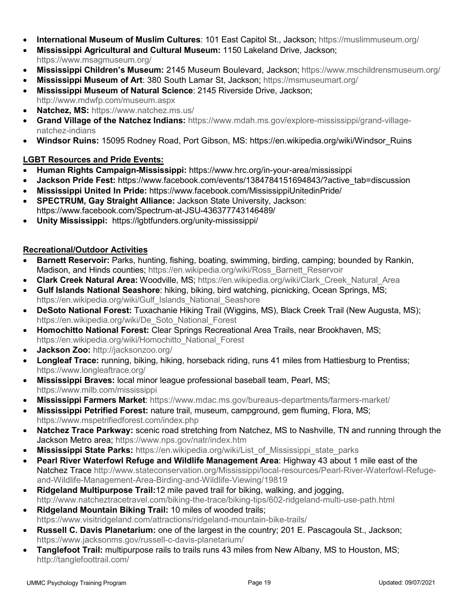- **International Museum of Muslim Cultures**: 101 East Capitol St., Jackson;<https://muslimmuseum.org/>
- **Mississippi Agricultural and Cultural Museum:** 1150 Lakeland Drive, Jackson; <https://www.msagmuseum.org/>
- **Mississippi Children's Museum:** 2145 Museum Boulevard, Jackson;<https://www.mschildrensmuseum.org/>
- **Mississippi Museum of Art**: 380 South Lamar St, Jackson;<https://msmuseumart.org/>
- **Mississippi Museum of Natural Science**: 2145 Riverside Drive, Jackson; <http://www.mdwfp.com/museum.aspx>
- **Natchez, MS:** <https://www.natchez.ms.us/>
- **Grand Village of the Natchez Indians:** [https://www.mdah.ms.gov/explore-mississippi/grand-village](https://www.mdah.ms.gov/explore-mississippi/grand-village-natchez-indians)[natchez-indians](https://www.mdah.ms.gov/explore-mississippi/grand-village-natchez-indians)
- **Windsor Ruins:** 15095 Rodney Road, Port Gibson, MS: [https://en.wikipedia.org/wiki/Windsor\\_Ruins](https://en.wikipedia.org/wiki/Windsor_Ruins)

## **LGBT Resources and Pride Events:**

- **Human Rights Campaign-Mississippi:** <https://www.hrc.org/in-your-area/mississippi>
- Jackson Pride Fest: https://www.facebook.com/events/1384784151694843/?active tab=discussion
- **Mississippi United In Pride:** <https://www.facebook.com/MississippiUnitedinPride/>
- **SPECTRUM, Gay Straight Alliance:** Jackson State University, Jackson: <https://www.facebook.com/Spectrum-at-JSU-436377743146489/>
- **Unity Mississippi:** <https://lgbtfunders.org/unity-mississippi/>

## **Recreational/Outdoor Activities**

- **Barnett Reservoir:** Parks, hunting, fishing, boating, swimming, birding, camping; bounded by Rankin, Madison, and Hinds counties; [https://en.wikipedia.org/wiki/Ross\\_Barnett\\_Reservoir](https://en.wikipedia.org/wiki/Ross_Barnett_Reservoir)
- **Clark Creek Natural Area:** Woodville, MS; [https://en.wikipedia.org/wiki/Clark\\_Creek\\_Natural\\_Area](https://en.wikipedia.org/wiki/Clark_Creek_Natural_Area)
- **Gulf Islands National Seashore**: hiking, biking, bird watching, picnicking, Ocean Springs, MS; [https://en.wikipedia.org/wiki/Gulf\\_Islands\\_National\\_Seashore](https://en.wikipedia.org/wiki/Gulf_Islands_National_Seashore)
- **DeSoto National Forest:** Tuxachanie Hiking Trail (Wiggins, MS), Black Creek Trail (New Augusta, MS); [https://en.wikipedia.org/wiki/De\\_Soto\\_National\\_Forest](https://en.wikipedia.org/wiki/De_Soto_National_Forest)
- **Homochitto National Forest:** Clear Springs Recreational Area Trails, near Brookhaven, MS; [https://en.wikipedia.org/wiki/Homochitto\\_National\\_Forest](https://en.wikipedia.org/wiki/Homochitto_National_Forest)
- **Jackson Zoo:** <http://jacksonzoo.org/>
- **Longleaf Trace:** running, biking, hiking, horseback riding, runs 41 miles from Hattiesburg to Prentiss; <https://www.longleaftrace.org/>
- **Mississippi Braves:** local minor league professional baseball team, Pearl, MS; <https://www.milb.com/mississippi>
- **Mississippi Farmers Market**:<https://www.mdac.ms.gov/bureaus-departments/farmers-market/>
- **Mississippi Petrified Forest:** nature trail, museum, campground, gem fluming, Flora, MS; <https://www.mspetrifiedforest.com/index.php>
- **Natchez Trace Parkway:** scenic road stretching from Natchez, MS to Nashville, TN and running through the Jackson Metro area;<https://www.nps.gov/natr/index.htm>
- **Mississippi State Parks:** [https://en.wikipedia.org/wiki/List\\_of\\_Mississippi\\_state\\_parks](https://en.wikipedia.org/wiki/List_of_Mississippi_state_parks)
- **Pearl River Waterfowl Refuge and Wildlife Management Area**: Highway 43 about 1 mile east of the Natchez Trace [http://www.stateconservation.org/Mississippi/local-resources/Pearl-River-Waterfowl-Refuge](http://www.stateconservation.org/Mississippi/local-resources/Pearl-River-Waterfowl-Refuge-and-Wildlife-Management-Area-Birding-and-Wildlife-Viewing/19819)[and-Wildlife-Management-Area-Birding-and-Wildlife-Viewing/19819](http://www.stateconservation.org/Mississippi/local-resources/Pearl-River-Waterfowl-Refuge-and-Wildlife-Management-Area-Birding-and-Wildlife-Viewing/19819)
- **Ridgeland Multipurpose Trail:**12 mile paved trail for biking, walking, and jogging, <http://www.natcheztracetravel.com/biking-the-trace/biking-tips/602-ridgeland-multi-use-path.html>
- **Ridgeland Mountain Biking Trail:** 10 miles of wooded trails; <https://www.visitridgeland.com/attractions/ridgeland-mountain-bike-trails/>
- **Russell C. Davis Planetarium:** one of the largest in the country; 201 E. Pascagoula St., Jackson; <https://www.jacksonms.gov/russell-c-davis-planetarium/>
- **Tanglefoot Trail:** multipurpose rails to trails runs 43 miles from New Albany, MS to Houston, MS; <http://tanglefoottrail.com/>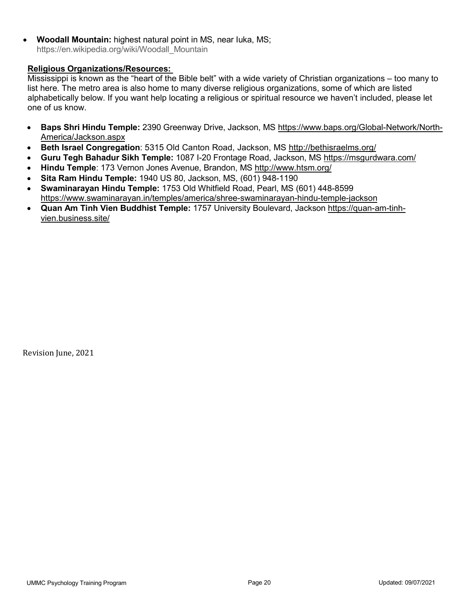• **Woodall Mountain:** highest natural point in MS, near Iuka, MS; [https://en.wikipedia.org/wiki/Woodall\\_Mountain](https://en.wikipedia.org/wiki/Woodall_Mountain)

## **Religious Organizations/Resources:**

Mississippi is known as the "heart of the Bible belt" with a wide variety of Christian organizations – too many to list here. The metro area is also home to many diverse religious organizations, some of which are listed alphabetically below. If you want help locating a religious or spiritual resource we haven't included, please let one of us know.

- **Baps Shri Hindu Temple:** 2390 Greenway Drive, Jackson, MS [https://www.baps.org/Global-Network/North-](https://www.baps.org/Global-Network/North-America/Jackson.aspx)[America/Jackson.aspx](https://www.baps.org/Global-Network/North-America/Jackson.aspx)
- **Beth Israel Congregation**: 5315 Old Canton Road, Jackson, MS<http://bethisraelms.org/>
- **Guru Tegh Bahadur Sikh Temple:** 1087 I-20 Frontage Road, Jackson, MS<https://msgurdwara.com/>
- **Hindu Temple**: 173 Vernon Jones Avenue, Brandon, MS <http://www.htsm.org/>
- **Sita Ram Hindu Temple:** 1940 US 80, Jackson, MS, (601) 948-1190
- **Swaminarayan Hindu Temple:** 1753 Old Whitfield Road, Pearl, MS (601) 448-8599 <https://www.swaminarayan.in/temples/america/shree-swaminarayan-hindu-temple-jackson>
- **Quan Am Tinh Vien Buddhist Temple:** 1757 University Boulevard, Jackson [https://quan-am-tinh](https://quan-am-tinh-vien.business.site/)[vien.business.site/](https://quan-am-tinh-vien.business.site/)

Revision June, 2021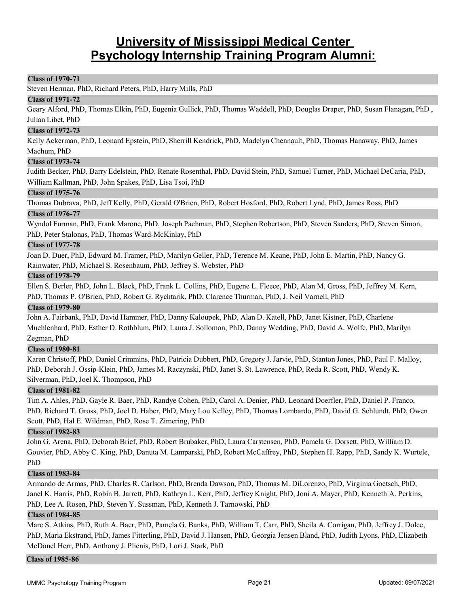# **University of Mississippi Medical Center Psychology Internship Training Program Alumni:**

#### **Class of 1970-71**

Steven Herman, PhD, Richard Peters, PhD, Harry Mills, PhD

#### **Class of 1971-72**

Geary Alford, PhD, Thomas Elkin, PhD, Eugenia Gullick, PhD, Thomas Waddell, PhD, Douglas Draper, PhD, Susan Flanagan, PhD , Julian Libet, PhD

#### **Class of 1972-73**

Kelly Ackerman, PhD, Leonard Epstein, PhD, Sherrill Kendrick, PhD, Madelyn Chennault, PhD, Thomas Hanaway, PhD, James Machum, PhD

## **Class of 1973-74**

Judith Becker, PhD, Barry Edelstein, PhD, Renate Rosenthal, PhD, David Stein, PhD, Samuel Turner, PhD, Michael DeCaria, PhD, William Kallman, PhD, John Spakes, PhD, Lisa Tsoi, PhD

#### **Class of 1975-76**

Thomas Dubrava, PhD, Jeff Kelly, PhD, Gerald O'Brien, PhD, Robert Hosford, PhD, Robert Lynd, PhD, James Ross, PhD

#### **Class of 1976-77**

Wyndol Furman, PhD, Frank Marone, PhD, Joseph Pachman, PhD, Stephen Robertson, PhD, Steven Sanders, PhD, Steven Simon, PhD, Peter Stalonas, PhD, Thomas Ward-McKinlay, PhD

#### **Class of 1977-78**

Joan D. Duer, PhD, Edward M. Framer, PhD, Marilyn Geller, PhD, Terence M. Keane, PhD, John E. Martin, PhD, Nancy G. Rainwater, PhD, Michael S. Rosenbaum, PhD, Jeffrey S. Webster, PhD

#### **Class of 1978-79**

Ellen S. Berler, PhD, John L. Black, PhD, Frank L. Collins, PhD, Eugene L. Fleece, PhD, Alan M. Gross, PhD, Jeffrey M. Kern, PhD, Thomas P. O'Brien, PhD, Robert G. Rychtarik, PhD, Clarence Thurman, PhD, J. Neil Varnell, PhD

#### **Class of 1979-80**

John A. Fairbank, PhD, David Hammer, PhD, Danny Kaloupek, PhD, Alan D. Katell, PhD, Janet Kistner, PhD, Charlene Muehlenhard, PhD, Esther D. Rothblum, PhD, Laura J. Sollomon, PhD, Danny Wedding, PhD, David A. Wolfe, PhD, Marilyn Zegman, PhD

### **Class of 1980-81**

Karen Christoff, PhD, Daniel Crimmins, PhD, Patricia Dubbert, PhD, Gregory J. Jarvie, PhD, Stanton Jones, PhD, Paul F. Malloy, PhD, Deborah J. Ossip-Klein, PhD, James M. Raczynski, PhD, Janet S. St. Lawrence, PhD, Reda R. Scott, PhD, Wendy K. Silverman, PhD, Joel K. Thompson, PhD

### **Class of 1981-82**

Tim A. Ahles, PhD, Gayle R. Baer, PhD, Randye Cohen, PhD, Carol A. Denier, PhD, Leonard Doerfler, PhD, Daniel P. Franco, PhD, Richard T. Gross, PhD, Joel D. Haber, PhD, Mary Lou Kelley, PhD, Thomas Lombardo, PhD, David G. Schlundt, PhD, Owen Scott, PhD, Hal E. Wildman, PhD, Rose T. Zimering, PhD

#### **Class of 1982-83**

John G. Arena, PhD, Deborah Brief, PhD, Robert Brubaker, PhD, Laura Carstensen, PhD, Pamela G. Dorsett, PhD, William D. Gouvier, PhD, Abby C. King, PhD, Danuta M. Lamparski, PhD, Robert McCaffrey, PhD, Stephen H. Rapp, PhD, Sandy K. Wurtele, PhD

#### **Class of 1983-84**

Armando de Armas, PhD, Charles R. Carlson, PhD, Brenda Dawson, PhD, Thomas M. DiLorenzo, PhD, Virginia Goetsch, PhD, Janel K. Harris, PhD, Robin B. Jarrett, PhD, Kathryn L. Kerr, PhD, Jeffrey Knight, PhD, Joni A. Mayer, PhD, Kenneth A. Perkins, PhD, Lee A. Rosen, PhD, Steven Y. Sussman, PhD, Kenneth J. Tarnowski, PhD

#### **Class of 1984-85**

Marc S. Atkins, PhD, Ruth A. Baer, PhD, Pamela G. Banks, PhD, William T. Carr, PhD, Sheila A. Corrigan, PhD, Jeffrey J. Dolce, PhD, Maria Ekstrand, PhD, James Fitterling, PhD, David J. Hansen, PhD, Georgia Jensen Bland, PhD, Judith Lyons, PhD, Elizabeth McDonel Herr, PhD, Anthony J. Plienis, PhD, Lori J. Stark, PhD

#### **Class of 1985-86**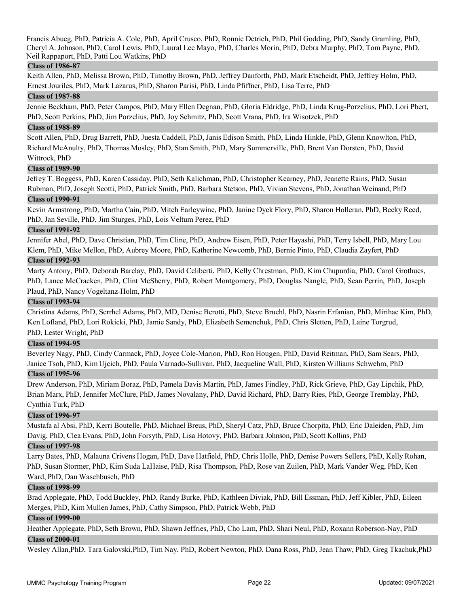Francis Abueg, PhD, Patricia A. Cole, PhD, April Crusco, PhD, Ronnie Detrich, PhD, Phil Godding, PhD, Sandy Gramling, PhD, Cheryl A. Johnson, PhD, Carol Lewis, PhD, Laural Lee Mayo, PhD, Charles Morin, PhD, Debra Murphy, PhD, Tom Payne, PhD, Neil Rappaport, PhD, Patti Lou Watkins, PhD

### **Class of 1986-87**

Keith Allen, PhD, Melissa Brown, PhD, Timothy Brown, PhD, Jeffrey Danforth, PhD, Mark Etscheidt, PhD, Jeffrey Holm, PhD, Ernest Jouriles, PhD, Mark Lazarus, PhD, Sharon Parisi, PhD, Linda Pfiffner, PhD, Lisa Terre, PhD

#### **Class of 1987-88**

Jennie Beckham, PhD, Peter Campos, PhD, Mary Ellen Degnan, PhD, Gloria Eldridge, PhD, Linda Krug-Porzelius, PhD, Lori Pbert, PhD, Scott Perkins, PhD, Jim Porzelius, PhD, Joy Schmitz, PhD, Scott Vrana, PhD, Ira Wisotzek, PhD

#### **Class of 1988-89**

Scott Allen, PhD, Drug Barrett, PhD, Juesta Caddell, PhD, Janis Edison Smith, PhD, Linda Hinkle, PhD, Glenn Knowlton, PhD, Richard McAnulty, PhD, Thomas Mosley, PhD, Stan Smith, PhD, Mary Summerville, PhD, Brent Van Dorsten, PhD, David Wittrock, PhD

### **Class of 1989-90**

Jefrey T. Boggess, PhD, Karen Cassiday, PhD, Seth Kalichman, PhD, Christopher Kearney, PhD, Jeanette Rains, PhD, Susan Rubman, PhD, Joseph Scotti, PhD, Patrick Smith, PhD, Barbara Stetson, PhD, Vivian Stevens, PhD, Jonathan Weinand, PhD

#### **Class of 1990-91**

Kevin Armstrong, PhD, Martha Cain, PhD, Mitch Earleywine, PhD, Janine Dyck Flory, PhD, Sharon Holleran, PhD, Becky Reed, PhD, Jan Seville, PhD, Jim Sturges, PhD, Lois Veltum Perez, PhD

#### **Class of 1991-92**

Jennifer Abel, PhD, Dave Christian, PhD, Tim Cline, PhD, Andrew Eisen, PhD, Peter Hayashi, PhD, Terry Isbell, PhD, Mary Lou Klem, PhD, Mike Mellon, PhD, Aubrey Moore, PhD, Katherine Newcomb, PhD, Bernie Pinto, PhD, Claudia Zayfert, PhD

#### **Class of 1992-93**

Marty Antony, PhD, Deborah Barclay, PhD, David Celiberti, PhD, Kelly Chrestman, PhD, Kim Chupurdia, PhD, Carol Grothues, PhD, Lance McCracken, PhD, Clint McSherry, PhD, Robert Montgomery, PhD, Douglas Nangle, PhD, Sean Perrin, PhD, Joseph Plaud, PhD, Nancy Vogeltanz-Holm, PhD

#### **Class of 1993-94**

Christina Adams, PhD, Serrhel Adams, PhD, MD, Denise Berotti, PhD, Steve Bruehl, PhD, Nasrin Erfanian, PhD, Mirihae Kim, PhD, Ken Lofland, PhD, Lori Rokicki, PhD, Jamie Sandy, PhD, Elizabeth Semenchuk, PhD, Chris Sletten, PhD, Laine Torgrud, PhD, Lester Wright, PhD

#### **Class of 1994-95**

Beverley Nagy, PhD, Cindy Carmack, PhD, Joyce Cole-Marion, PhD, Ron Hougen, PhD, David Reitman, PhD, Sam Sears, PhD, Janice Tsoh, PhD, Kim Ujcich, PhD, Paula Varnado-Sullivan, PhD, Jacqueline Wall, PhD, Kirsten Williams Schwehm, PhD

### **Class of 1995-96**

Drew Anderson, PhD, Miriam Boraz, PhD, Pamela Davis Martin, PhD, James Findley, PhD, Rick Grieve, PhD, Gay Lipchik, PhD, Brian Marx, PhD, Jennifer McClure, PhD, James Novalany, PhD, David Richard, PhD, Barry Ries, PhD, George Tremblay, PhD, Cynthia Turk, PhD

### **Class of 1996-97**

Mustafa al Absi, PhD, Kerri Boutelle, PhD, Michael Breus, PhD, Sheryl Catz, PhD, Bruce Chorpita, PhD, Eric Daleiden, PhD, Jim Davig, PhD, Clea Evans, PhD, John Forsyth, PhD, Lisa Hotovy, PhD, Barbara Johnson, PhD, Scott Kollins, PhD

### **Class of 1997-98**

Larry Bates, PhD, Malauna Crivens Hogan, PhD, Dave Hatfield, PhD, Chris Holle, PhD, Denise Powers Sellers, PhD, Kelly Rohan, PhD, Susan Stormer, PhD, Kim Suda LaHaise, PhD, Risa Thompson, PhD, Rose van Zuilen, PhD, Mark Vander Weg, PhD, Ken Ward, PhD, Dan Waschbusch, PhD

#### **Class of 1998-99**

Brad Applegate, PhD, Todd Buckley, PhD, Randy Burke, PhD, Kathleen Diviak, PhD, Bill Essman, PhD, Jeff Kibler, PhD, Eileen Merges, PhD, Kim Mullen James, PhD, Cathy Simpson, PhD, Patrick Webb, PhD

### **Class of 1999-00**

Heather Applegate, PhD, Seth Brown, PhD, Shawn Jeffries, PhD, Cho Lam, PhD, Shari Neul, PhD, Roxann Roberson-Nay, PhD **Class of 2000-01**

Wesley Allan,PhD, Tara Galovski,PhD, Tim Nay, PhD, Robert Newton, PhD, Dana Ross, PhD, Jean Thaw, PhD, Greg Tkachuk,PhD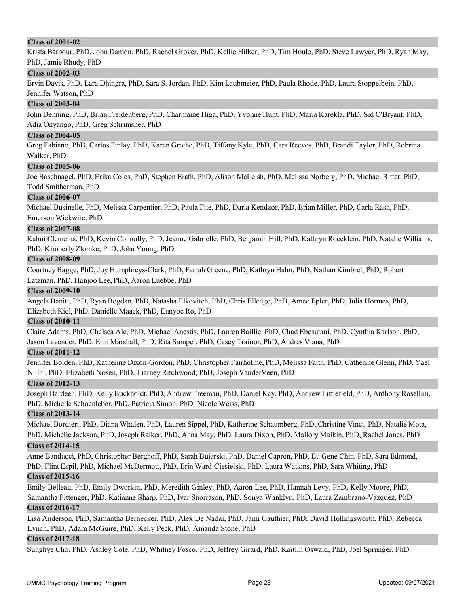## **Class of 2001-02**

Krista Barbour, PhD, John Damon, PhD, Rachel Grover, PhD, Kellie Hilker, PhD, Tim Houle, PhD, Steve Lawyer, PhD, Ryan May, PhD, Jamie Rhudy, PhD

### **Class of 2002-03**

Ervin Davis, PhD, Lara Dhingra, PhD, Sara S. Jordan, PhD, Kim Laubmeier, PhD, Paula Rhode, PhD, Laura Stoppelbein, PhD, Jennifer Watson, PhD

#### **Class of 2003-04**

John Denning, PhD, Brian Freidenberg, PhD, Charmaine Higa, PhD, Yvonne Hunt, PhD, Maria Karekla, PhD, Sid O'Bryant, PhD, Adia Onyango, PhD, Greg Schrimsher, PhD

#### **Class of 2004-05**

Greg Fabiano, PhD, Carlos Finlay, PhD, Karen Grothe, PhD, Tiffany Kyle, PhD, Cara Reeves, PhD, Brandi Taylor, PhD, Robrina Walker, PhD

#### **Class of 2005-06**

Joe Baschnagel, PhD, Erika Coles, PhD, Stephen Erath, PhD, Alison McLeish, PhD, Melissa Norberg, PhD, Michael Ritter, PhD, Todd Smitherman, PhD

#### **Class of 2006-07**

Michael Businelle, PhD, Melissa Carpentier, PhD, Paula Fite, PhD, Darla Kendzor, PhD, Brian Miller, PhD, Carla Rash, PhD, Emerson Wickwire, PhD

#### **Class of 2007-08**

Kahni Clements, PhD, Kevin Connolly, PhD, Jeanne Gabrielle, PhD, Benjamin Hill, PhD, Kathryn Roecklein, PhD, Natalie Williams, PhD, Kimberly Zlomke, PhD, John Young, PhD

#### **Class of 2008-09**

Courtney Bagge, PhD, Joy Humphreys-Clark, PhD, Farrah Greene, PhD, Kathryn Hahn, PhD, Nathan Kimbrel, PhD, Robert Latzman, PhD, Hanjoo Lee, PhD, Aaron Luebbe, PhD

#### **Class of 2009-10**

Angela Banitt, PhD, Ryan Bogdan, PhD, Natasha Elkovitch, PhD, Chris Elledge, PhD, Amee Epler, PhD, Julia Hormes, PhD, Elizabeth Kiel, PhD, Danielle Maack, PhD, Eunyoe Ro, PhD

#### **Class of 2010-11**

Claire Adams, PhD, Chelsea Ale, PhD, Michael Anestis, PhD, Lauren Baillie, PhD, Chad Ebesutani, PhD, Cynthia Karlson, PhD, Jason Lavender, PhD, Erin Marshall, PhD, Rita Samper, PhD, Casey Trainor, PhD, Andres Viana, PhD

### **Class of 2011-12**

Jennifer Bolden, PhD, Katherine Dixon-Gordon, PhD, Christopher Fairholme, PhD, Melissa Faith, PhD, Catherine Glenn, PhD, Yael Nillni, PhD, Elizabeth Nosen, PhD, Tiarney Ritchwood, PhD, Joseph VanderVeen, PhD

### **Class of 2012-13**

Joseph Bardeen, PhD, Kelly Buckholdt, PhD, Andrew Freeman, PhD, Daniel Kay, PhD, Andrew Littlefield, PhD, Anthony Rosellini, PhD, Michelle Schoenleber, PhD, Patricia Simon, PhD, Nicole Weiss, PhD

#### **Class of 2013-14**

Michael Bordieri, PhD, Diana Whalen, PhD, Lauren Sippel, PhD, Katherine Schaumberg, PhD, Christine Vinci, PhD, Natalie Mota, PhD, Michelle Jackson, PhD, Joseph Raiker, PhD, Anna May, PhD, Laura Dixon, PhD, Mallory Malkin, PhD, Rachel Jones, PhD

#### **Class of 2014-15**

Anne Banducci, PhD, Christopher Berghoff, PhD, Sarah Bujarski, PhD, Daniel Capron, PhD, Eu Gene Chin, PhD, Sara Edmond, PhD, Flint Espil, PhD, Michael McDermott, PhD, Erin Ward-Ciesielski, PhD, Laura Watkins, PhD, Sara Whiting, PhD

### **Class of 2015-16**

Emily Belleau, PhD, Emily Dworkin, PhD, Meredith Ginley, PhD, Aaron Lee, PhD, Hannah Levy, PhD, Kelly Moore, PhD, Samantha Pittenger, PhD, Katianne Sharp, PhD, Ivar Snorrason, PhD, Sonya Wanklyn, PhD, Laura Zambrano-Vazquez, PhD

### **Class of 2016-17**

Lisa Anderson, PhD, Samantha Bernecker, PhD, Alex De Nadai, PhD, Jami Gauthier, PhD, David Hollingsworth, PhD, Rebecca Lynch, PhD, Adam McGuire, PhD, Kelly Peck, PhD, Amanda Stone, PhD

### **Class of 2017-18**

Sunghye Cho, PhD, Ashley Cole, PhD, Whitney Fosco, PhD, Jeffrey Girard, PhD, Kaitlin Oswald, PhD, Joel Sprunger, PhD